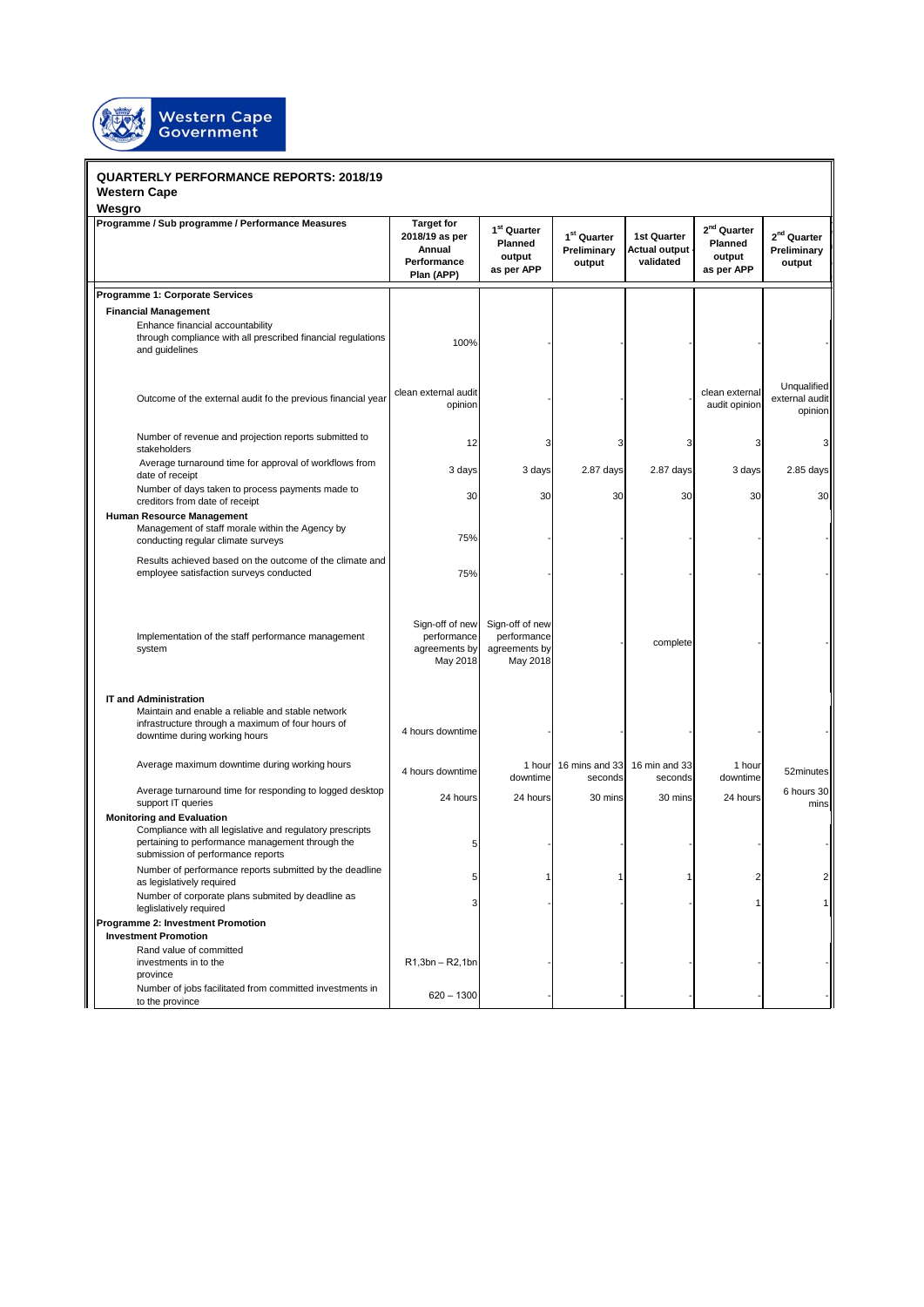

## **QUARTERLY PERFORMANCE REPORTS: 2018/19 Western Cape**

| <b>QUARTERLY PERFORMANCE REPORTS: 2018/19</b><br><b>Western Cape</b>                                                                                                                   |                                                                            |                                                             |                                                  |                                           |                                                            |                                                  |  |
|----------------------------------------------------------------------------------------------------------------------------------------------------------------------------------------|----------------------------------------------------------------------------|-------------------------------------------------------------|--------------------------------------------------|-------------------------------------------|------------------------------------------------------------|--------------------------------------------------|--|
| Wesgro                                                                                                                                                                                 |                                                                            |                                                             |                                                  |                                           |                                                            |                                                  |  |
| Programme / Sub programme / Performance Measures                                                                                                                                       | <b>Target for</b><br>2018/19 as per<br>Annual<br>Performance<br>Plan (APP) | 1 <sup>st</sup> Quarter<br>Planned<br>output<br>as per APP  | 1 <sup>st</sup> Quarter<br>Preliminary<br>output | 1st Quarter<br>Actual output<br>validated | 2 <sup>nd</sup> Quarter<br>Planned<br>output<br>as per APP | 2 <sup>nd</sup> Quarter<br>Preliminary<br>output |  |
| Programme 1: Corporate Services                                                                                                                                                        |                                                                            |                                                             |                                                  |                                           |                                                            |                                                  |  |
| <b>Financial Management</b>                                                                                                                                                            |                                                                            |                                                             |                                                  |                                           |                                                            |                                                  |  |
| Enhance financial accountability<br>through compliance with all prescribed financial regulations<br>and guidelines                                                                     | 100%                                                                       |                                                             |                                                  |                                           |                                                            |                                                  |  |
| Outcome of the external audit fo the previous financial year                                                                                                                           | clean external audit<br>opinion                                            |                                                             |                                                  |                                           | clean external<br>audit opinion                            | Unqualified<br>external audit<br>opinion         |  |
| Number of revenue and projection reports submitted to<br>stakeholders                                                                                                                  | 12                                                                         | 3                                                           | 3                                                | 3                                         | э                                                          | 3                                                |  |
| Average turnaround time for approval of workflows from<br>date of receipt                                                                                                              | 3 days                                                                     | 3 days                                                      | 2.87 days                                        | $2.87$ days                               | 3 days                                                     | 2.85 days                                        |  |
| Number of days taken to process payments made to<br>creditors from date of receipt                                                                                                     | 30                                                                         | 30                                                          | 30                                               | 30                                        | 30                                                         | 30                                               |  |
| <b>Human Resource Management</b><br>Management of staff morale within the Agency by<br>conducting regular climate surveys                                                              | 75%                                                                        |                                                             |                                                  |                                           |                                                            |                                                  |  |
| Results achieved based on the outcome of the climate and<br>employee satisfaction surveys conducted                                                                                    | 75%                                                                        |                                                             |                                                  |                                           |                                                            |                                                  |  |
| Implementation of the staff performance management<br>system                                                                                                                           | Sign-off of new<br>performance<br>agreements by<br>May 2018                | Sign-off of new<br>performance<br>agreements by<br>May 2018 |                                                  | complete                                  |                                                            |                                                  |  |
| <b>IT and Administration</b>                                                                                                                                                           |                                                                            |                                                             |                                                  |                                           |                                                            |                                                  |  |
| Maintain and enable a reliable and stable network<br>infrastructure through a maximum of four hours of<br>downtime during working hours                                                | 4 hours downtime                                                           |                                                             |                                                  |                                           |                                                            |                                                  |  |
| Average maximum downtime during working hours                                                                                                                                          | 4 hours downtime                                                           | 1 hour<br>downtime                                          | 16 mins and 33<br>seconds                        | 16 min and 33<br>seconds                  | 1 hour<br>downtime                                         | 52minutes                                        |  |
| Average turnaround time for responding to logged desktop<br>support IT queries                                                                                                         | 24 hours                                                                   | 24 hours                                                    | 30 mins                                          | 30 mins                                   | 24 hours                                                   | 6 hours 30<br>mins                               |  |
| <b>Monitoring and Evaluation</b><br>Compliance with all legislative and regulatory prescripts<br>pertaining to performance management through the<br>submission of performance reports | 5                                                                          |                                                             |                                                  |                                           |                                                            |                                                  |  |
| Number of performance reports submitted by the deadline<br>as legislatively required                                                                                                   | 5                                                                          | 1                                                           |                                                  |                                           | 2                                                          | $\overline{\mathbf{c}}$                          |  |
| Number of corporate plans submited by deadline as<br>leglislatively required                                                                                                           | 3                                                                          |                                                             |                                                  |                                           |                                                            | 1                                                |  |
| Programme 2: Investment Promotion                                                                                                                                                      |                                                                            |                                                             |                                                  |                                           |                                                            |                                                  |  |
| <b>Investment Promotion</b>                                                                                                                                                            |                                                                            |                                                             |                                                  |                                           |                                                            |                                                  |  |
| Rand value of committed<br>investments in to the<br>province                                                                                                                           | $R1,3bn - R2,1bn$                                                          |                                                             |                                                  |                                           |                                                            |                                                  |  |
| Number of jobs facilitated from committed investments in<br>to the province                                                                                                            | $620 - 1300$                                                               |                                                             |                                                  |                                           |                                                            |                                                  |  |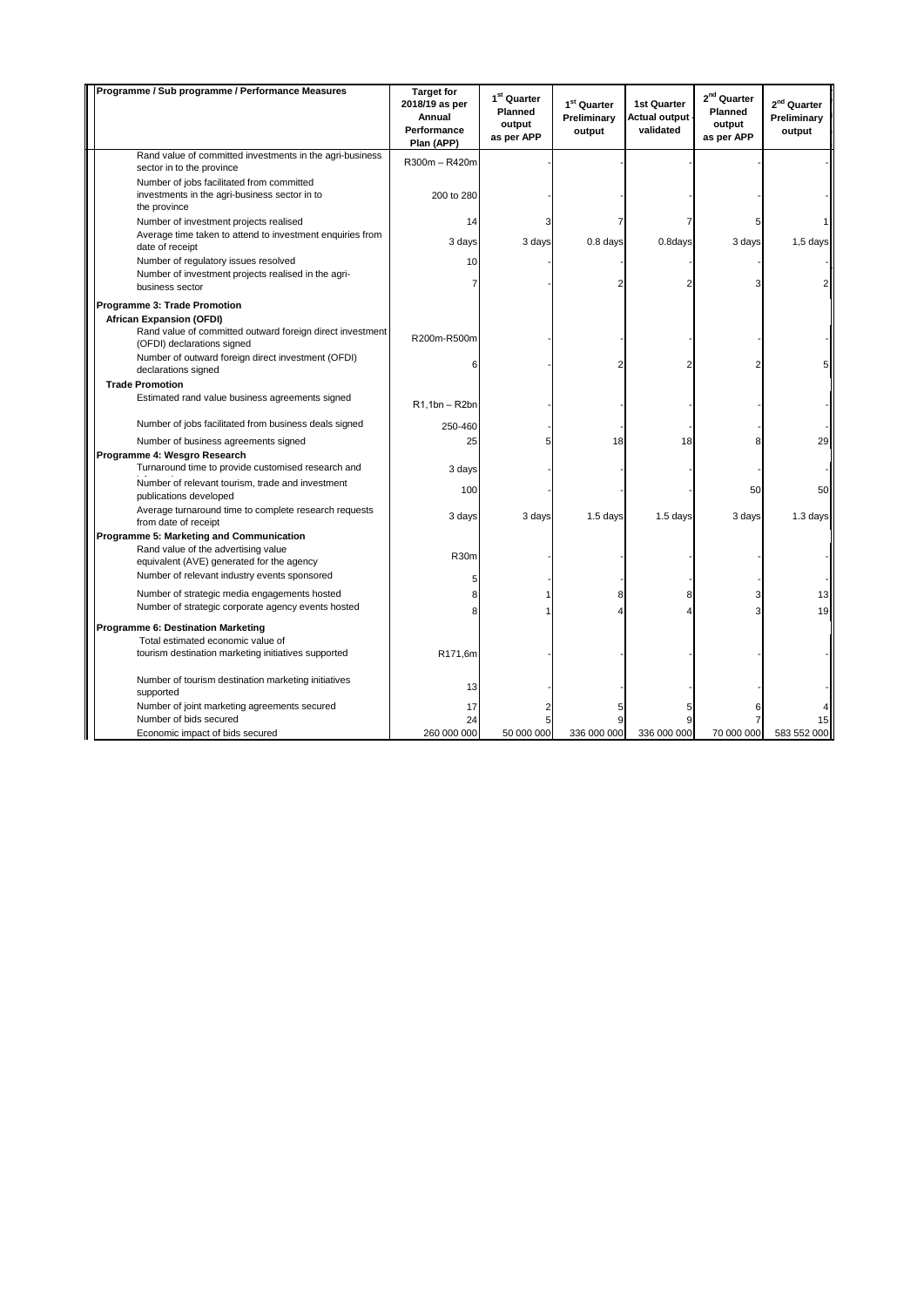| Programme / Sub programme / Performance Measures                                                                       | <b>Target for</b><br>2018/19 as per<br>Annual<br>Performance<br>Plan (APP) | $1^{st}$ Quarter<br>Planned<br>output<br>as per APP | 1 <sup>st</sup> Quarter<br>Preliminary<br>output | <b>1st Quarter</b><br><b>Actual output</b><br>validated | $2^{nd}$ Quarter<br>Planned<br>output<br>as per APP | $2nd$ Quarter<br>Preliminary<br>output |
|------------------------------------------------------------------------------------------------------------------------|----------------------------------------------------------------------------|-----------------------------------------------------|--------------------------------------------------|---------------------------------------------------------|-----------------------------------------------------|----------------------------------------|
| Rand value of committed investments in the agri-business<br>sector in to the province                                  | R300m - R420m                                                              |                                                     |                                                  |                                                         |                                                     |                                        |
| Number of jobs facilitated from committed<br>investments in the agri-business sector in to<br>the province             | 200 to 280                                                                 |                                                     |                                                  |                                                         |                                                     |                                        |
| Number of investment projects realised<br>Average time taken to attend to investment enquiries from<br>date of receipt | 14<br>3 days                                                               | 3 days                                              | $0.8$ days                                       | 0.8days                                                 | 3 days                                              | $1,5$ days                             |
| Number of regulatory issues resolved<br>Number of investment projects realised in the agri-                            | 10                                                                         |                                                     |                                                  |                                                         |                                                     |                                        |
| business sector                                                                                                        | 7                                                                          |                                                     | 2                                                |                                                         |                                                     |                                        |
| Programme 3: Trade Promotion                                                                                           |                                                                            |                                                     |                                                  |                                                         |                                                     |                                        |
| African Expansion (OFDI)                                                                                               |                                                                            |                                                     |                                                  |                                                         |                                                     |                                        |
| Rand value of committed outward foreign direct investment<br>(OFDI) declarations signed                                | R200m-R500m                                                                |                                                     |                                                  |                                                         |                                                     |                                        |
| Number of outward foreign direct investment (OFDI)<br>declarations signed                                              | F                                                                          |                                                     | 2                                                | 2                                                       |                                                     | 5                                      |
| <b>Trade Promotion</b>                                                                                                 |                                                                            |                                                     |                                                  |                                                         |                                                     |                                        |
| Estimated rand value business agreements signed                                                                        | $R1,1bn - R2bn$                                                            |                                                     |                                                  |                                                         |                                                     |                                        |
| Number of jobs facilitated from business deals signed                                                                  | 250-460                                                                    |                                                     |                                                  |                                                         |                                                     |                                        |
| Number of business agreements signed                                                                                   | 25                                                                         | 5                                                   | 18                                               | 18                                                      |                                                     | 29                                     |
| Programme 4: Wesgro Research<br>Turnaround time to provide customised research and                                     | 3 days                                                                     |                                                     |                                                  |                                                         |                                                     |                                        |
| Number of relevant tourism, trade and investment<br>publications developed                                             | 100                                                                        |                                                     |                                                  |                                                         | 50                                                  | 50                                     |
| Average turnaround time to complete research requests<br>from date of receipt                                          | 3 days                                                                     | 3 days                                              | 1.5 days                                         | $1.5$ days                                              | 3 days                                              | 1.3 days                               |
| <b>Programme 5: Marketing and Communication</b>                                                                        |                                                                            |                                                     |                                                  |                                                         |                                                     |                                        |
| Rand value of the advertising value<br>equivalent (AVE) generated for the agency                                       | <b>R30m</b>                                                                |                                                     |                                                  |                                                         |                                                     |                                        |
| Number of relevant industry events sponsored                                                                           | 5                                                                          |                                                     |                                                  |                                                         |                                                     |                                        |
| Number of strategic media engagements hosted                                                                           | 8                                                                          |                                                     | 8                                                | 8                                                       |                                                     | 13                                     |
| Number of strategic corporate agency events hosted                                                                     | 8                                                                          |                                                     |                                                  | 4                                                       | 3                                                   | 19                                     |
| Programme 6: Destination Marketing                                                                                     |                                                                            |                                                     |                                                  |                                                         |                                                     |                                        |
| Total estimated economic value of                                                                                      |                                                                            |                                                     |                                                  |                                                         |                                                     |                                        |
| tourism destination marketing initiatives supported                                                                    | R171,6m                                                                    |                                                     |                                                  |                                                         |                                                     |                                        |
| Number of tourism destination marketing initiatives<br>supported                                                       | 13                                                                         |                                                     |                                                  |                                                         |                                                     |                                        |
| Number of joint marketing agreements secured                                                                           | 17                                                                         |                                                     |                                                  |                                                         |                                                     |                                        |
| Number of bids secured                                                                                                 | 24                                                                         | 5                                                   | 9                                                | 9                                                       |                                                     | 15                                     |
| Economic impact of bids secured                                                                                        | 260 000 000                                                                | 50 000 000                                          | 336 000 000                                      | 336 000 000                                             | 70 000 000                                          | 583 552 000                            |